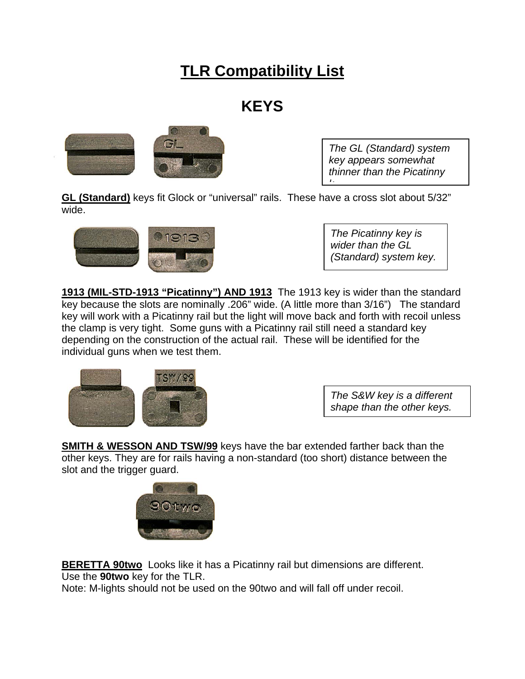# **TLR Compatibility List**

## **KEYS**



*The GL (Standard) system key appears somewhat thinner than the Picatinny k*

**GL (Standard)** keys fit Glock or "universal" rails. These have a cross slot about 5/32" wide.



*The Picatinny key is wider than the GL (Standard) system key.*

**1913 (MIL-STD-1913 "Picatinny") AND 1913** The 1913 key is wider than the standard key because the slots are nominally .206" wide. (A little more than 3/16") The standard key will work with a Picatinny rail but the light will move back and forth with recoil unless the clamp is very tight. Some guns with a Picatinny rail still need a standard key depending on the construction of the actual rail. These will be identified for the individual guns when we test them.



*The S&W key is a different shape than the other keys.*

**SMITH & WESSON AND TSW/99** keys have the bar extended farther back than the other keys. They are for rails having a non-standard (too short) distance between the slot and the trigger guard.



**BERETTA 90two** Looks like it has a Picatinny rail but dimensions are different. Use the **90two** key for the TLR.

Note: M-lights should not be used on the 90two and will fall off under recoil.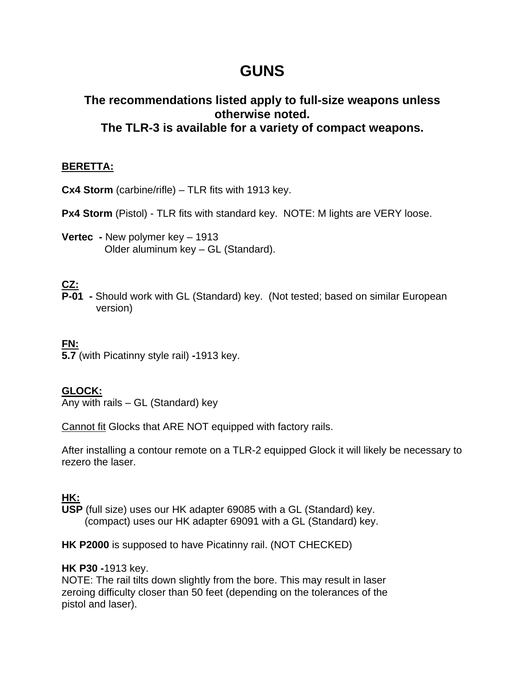## **GUNS**

### **The recommendations listed apply to full-size weapons unless otherwise noted. The TLR-3 is available for a variety of compact weapons.**

#### **BERETTA:**

**Cx4 Storm** (carbine/rifle) – TLR fits with 1913 key.

**Px4 Storm** (Pistol) - TLR fits with standard key. NOTE: M lights are VERY loose.

**Vertec -** New polymer key – 1913 Older aluminum key – GL (Standard).

### **CZ:**

**P-01 -** Should work with GL (Standard) key. (Not tested; based on similar European version)

#### **FN:**

**5.7** (with Picatinny style rail) **-**1913 key.

#### **GLOCK:**

Any with rails  $-$  GL (Standard) key

Cannot fit Glocks that ARE NOT equipped with factory rails.

After installing a contour remote on a TLR-2 equipped Glock it will likely be necessary to rezero the laser.

### **HK:**

**USP** (full size) uses our HK adapter 69085 with a GL (Standard) key. (compact) uses our HK adapter 69091 with a GL (Standard) key.

**HK P2000** is supposed to have Picatinny rail. (NOT CHECKED)

#### **HK P30 -**1913 key.

NOTE: The rail tilts down slightly from the bore. This may result in laser zeroing difficulty closer than 50 feet (depending on the tolerances of the pistol and laser).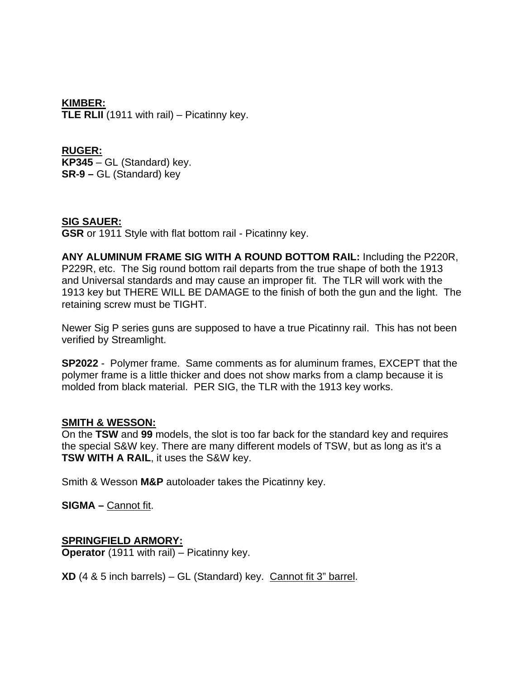**KIMBER: TLE RLII** (1911 with rail) – Picatinny key.

**RUGER: KP345** – GL (Standard) key. **SR-9 –** GL (Standard) key

#### **SIG SAUER:**

**GSR** or 1911 Style with flat bottom rail - Picatinny key.

**ANY ALUMINUM FRAME SIG WITH A ROUND BOTTOM RAIL:** Including the P220R, P229R, etc. The Sig round bottom rail departs from the true shape of both the 1913 and Universal standards and may cause an improper fit. The TLR will work with the 1913 key but THERE WILL BE DAMAGE to the finish of both the gun and the light. The retaining screw must be TIGHT.

Newer Sig P series guns are supposed to have a true Picatinny rail. This has not been verified by Streamlight.

**SP2022** - Polymer frame. Same comments as for aluminum frames, EXCEPT that the polymer frame is a little thicker and does not show marks from a clamp because it is molded from black material. PER SIG, the TLR with the 1913 key works.

#### **SMITH & WESSON:**

On the **TSW** and **99** models, the slot is too far back for the standard key and requires the special S&W key. There are many different models of TSW, but as long as it's a **TSW WITH A RAIL**, it uses the S&W key.

Smith & Wesson **M&P** autoloader takes the Picatinny key.

**SIGMA –** Cannot fit.

#### **SPRINGFIELD ARMORY:**

**Operator** (1911 with rail) – Picatinny key.

**XD** (4 & 5 inch barrels) – GL (Standard) key. Cannot fit 3" barrel.